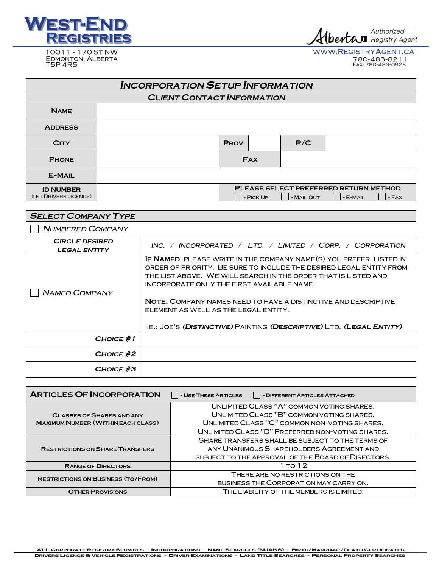

Albertan Authorized

10011 - 170 ST NW EDMONTON, ALBERTA WWW.REGISTRYAGENT.CA 780-483-8211<br>FAX: 780-483-0928

| <b>INCORPORATION SETUP INFORMATION</b>     |  |             |           |            |                                                          |        |
|--------------------------------------------|--|-------------|-----------|------------|----------------------------------------------------------|--------|
| <b>CLIENT CONTACT INFORMATION</b>          |  |             |           |            |                                                          |        |
| <b>NAME</b>                                |  |             |           |            |                                                          |        |
| <b>ADDRESS</b>                             |  |             |           |            |                                                          |        |
| <b>CITY</b>                                |  | <b>PROV</b> |           | P/C        |                                                          |        |
| <b>PHONE</b>                               |  | <b>FAX</b>  |           |            |                                                          |        |
| <b>E-MAIL</b>                              |  |             |           |            |                                                          |        |
| <b>ID NUMBER</b><br>(I.E.:DRIVERS LICENCE) |  |             | - PICK UP | - MAIL OUT | <b>PLEASE SELECT PREFERRED RETURN METHOD</b><br>- E-MAIL | $-FAX$ |

| <b>SELECT COMPANY TYPE</b>                   |                                                                                                                                                                                                                                                                                                                                                                                                                                                      |  |  |  |
|----------------------------------------------|------------------------------------------------------------------------------------------------------------------------------------------------------------------------------------------------------------------------------------------------------------------------------------------------------------------------------------------------------------------------------------------------------------------------------------------------------|--|--|--|
| <b>NUMBERED COMPANY</b>                      |                                                                                                                                                                                                                                                                                                                                                                                                                                                      |  |  |  |
| <b>CIRCLE DESIRED</b><br><b>LEGAL ENTITY</b> | INC. / INCORPORATED / LTD. / LIMITED / CORP. / CORPORATION                                                                                                                                                                                                                                                                                                                                                                                           |  |  |  |
| <b>NAMED COMPANY</b>                         | IF NAMED, PLEASE WRITE IN THE COMPANY NAME (S) YOU PREFER, LISTED IN<br>ORDER OF PRIORITY. BE SURE TO INCLUDE THE DESIRED LEGAL ENTITY FROM<br>THE LIST ABOVE. WE WILL SEARCH IN THE ORDER THAT IS LISTED AND<br>INCORPORATE ONLY THE FIRST AVAILABLE NAME.<br><b>NOTE: COMPANY NAMES NEED TO HAVE A DISTINCTIVE AND DESCRIPTIVE</b><br>ELEMENT AS WELL AS THE LEGAL ENTITY.<br>I.E.: JOE'S (DISTINCTIVE) PAINTING (DESCRIPTIVE) LTD. (LEGAL ENTITY) |  |  |  |
| $CHOICE \# 1$                                |                                                                                                                                                                                                                                                                                                                                                                                                                                                      |  |  |  |
| CHOICE #2                                    |                                                                                                                                                                                                                                                                                                                                                                                                                                                      |  |  |  |
| CHOICE #3                                    |                                                                                                                                                                                                                                                                                                                                                                                                                                                      |  |  |  |

| <b>ARTICLES OF INCORPORATION</b>          | - USE THESE ARTICLES<br>   - DIFFERENT ARTICLES ATTACHED |  |
|-------------------------------------------|----------------------------------------------------------|--|
|                                           | UNLIMITED CLASS "A" COMMON VOTING SHARES.                |  |
| <b>CLASSES OF SHARES AND ANY</b>          | UNI IMITED CLASS "B" COMMON VOTING SHARES.               |  |
| <b>MAXIMUM NUMBER (WITHIN EACH CLASS)</b> | UNLIMITED CLASS "C" COMMON NON-VOTING SHARES.            |  |
|                                           | UNLIMITED CLASS "D" PREFERRED NON-VOTING SHARES.         |  |
|                                           | SHARE TRANSFERS SHALL BE SUBJECT TO THE TERMS OF         |  |
| <b>RESTRICTIONS ON SHARE TRANSFERS</b>    | ANY UNANIMOUS SHAREHOLDERS AGREEMENT AND                 |  |
|                                           | SUBJECT TO THE APPROVAL OF THE BOARD OF DIRECTORS.       |  |
| <b>RANGE OF DIRECTORS</b>                 | το 1 2                                                   |  |
| <b>RESTRICTIONS ON BUSINESS (TO/FROM)</b> | THERE ARE NO RESTRICTIONS ON THE                         |  |
|                                           | <b>BUSINESS THE CORPORATION MAY CARRY ON.</b>            |  |
| <b>OTHER PROVISIONS</b>                   | THE LIABILITY OF THE MEMBERS IS LIMITED.                 |  |